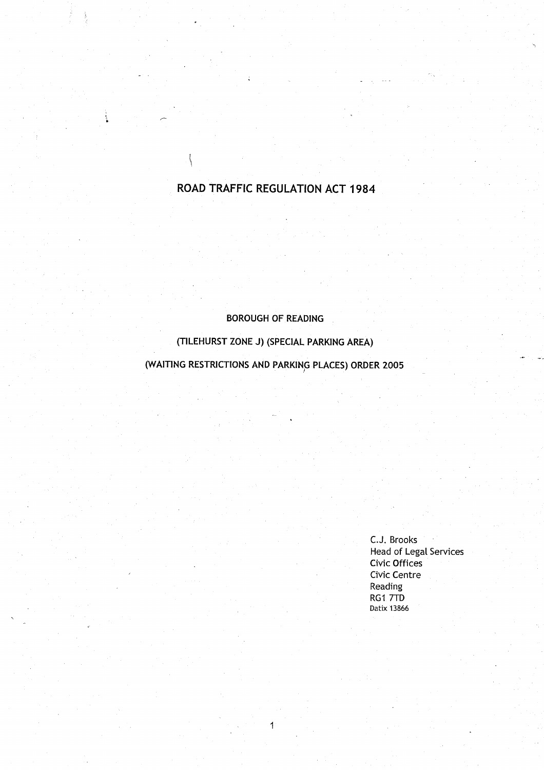# ROAD TRAFFIC REGULATION ACT 1984

 $\{$ 

# BOROUGH OF READING

# (TILEHURST ZONE J) (SPECIAL PARKING AREA)

(WAITING RESTRICTIONS AND PARKING PLACES) ORDER 2005

1

C.J. Brooks Head of Legal Services Civic Offices Civic Centre Reading RG1 7TD Datix 13866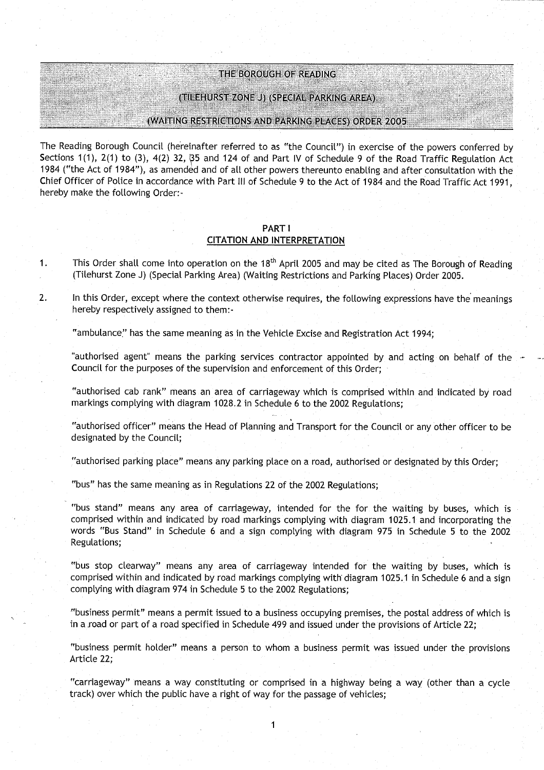**THE BOROUGH OF READING** 

(TILEHURST ZONE J) (SPECIAL PARKING AREA )

(WAITING RESTRICTIONS **AND PARKING** PLACES **) ORDER 2005**

**The Reading Borough Council** (**hereinafter referred to as** " **the Council** ") **in exercise of the powers conferred by Sections 1** ( **1), 2(1) to** ( **3), 4(2) 32**, **35 and 124 of and Part IV of Schedule 9 of the Road Traffic Regulation Act 1984 ("the Act of 1984** "), **as amended and of all other powers thereunto enabling and after consultation with the Chief Officer of Police in accordance with Part III of Schedule 9 to the Act of 1984 and the Road Traffic Act 1991, hereby make the following Order:**

### **PART** <sup>I</sup> **CITATION AND INTERPRETATION**

**<sup>1</sup> . This Order shall come into operation on the 18th April 2005 and may be cited as The Borough of Reading** (**Tilehurst Zone J) (Special Parking Area** ) (**Waiting Restrictions and Parking Places**) **Order 2005.**

**2. In this Order**, **except where the context otherwise requires** , **the following expressions have the meanings hereby respectively assigned to them:**

**"ambulance**" **has the same meaning as in the Vehicle Excise and Registration Act 1994 ;**

**"authorised agent**" **means the parking services contractor appointed by and acting on behalf of the Council for the purposes of the supervision and enforcement of this Order;**

**"authorised cab rank" means an area of carriageway which is comprised within and indicated by road markings complying with diagram 1028 .2 in Schedule 6 to the 2002 Regulations;**

**"authorised officer** " **means the Head of Planning and Transport for the Council or any other officer to be designated by the Council ;**

**"authorised parking place** " **means any parking place on a road** , **authorised or designated by this Order;**

**"bus" has the same meaning as in Regulations 22 of the 2002 Regulations;**

**"bus stand**" **means any area of carriageway**, **intended for the for the waiting by buses**, **which is comprised within and indicated by road markings complying with diagram 1025** . **1 and incorporating the words** "Bus **Stand** " **in Schedule 6 and a sign complying with diagram 975 in Schedule 5 to the 2002 Regulations;**

**"bus stop clearway**" **means any area of carriageway intended for the waiting by buses, which is comprised within and indicated by road markings complying with" diagram 1025** . **1 in Schedule 6 and a sign complying with diagram 974 in Schedule 5 to the 2002 Regulations;**

**"business permit** " **means a permit issued to a business occupying premises, the postal address of which is in** a road **or part of a road specified in Schedule 499 and issued** under **the provisions of Article 22 ;**

**"business permit holder** " **means a person to whom a business permit was issued under the provisions Article 22 ;**

**"carriageway** " **means a way constituting or comprised in a highway being a way (other than a cycle track**) **over which the public have a right of way for the passage of vehicles ;**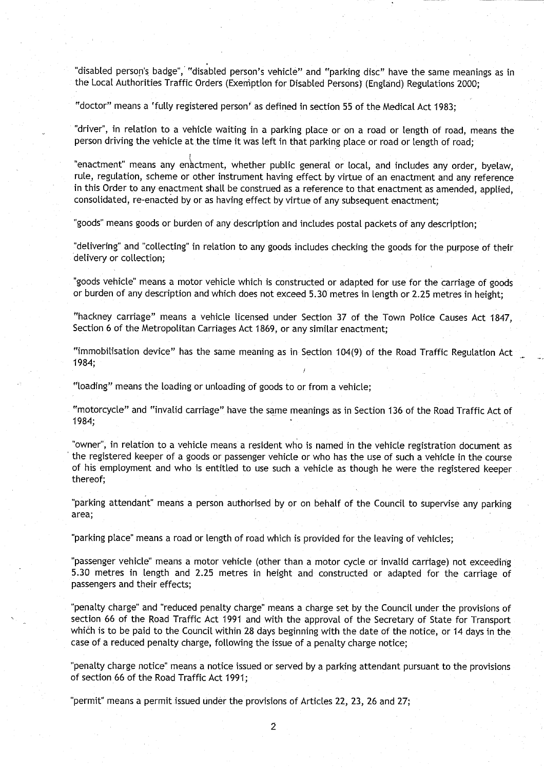"disabled person's badge", "disabled person's vehicle" and "parking disc" have the same meanings as in the Local Authorities Traffic Orders (Exemption for Disabled Persons) (England) Regulations 2000;

"doctor" means a 'fully registered person' as defined in section 55 of the Medical Act 1983;

"driver", in relation to a vehicle waiting in a parking place or on a road or length of road, means the person driving the vehicle at the time it was left in that parking place or road or length of road;

"enactment" means any enactment, whether public general or local, and includes any order, byelaw, rule, regulation, scheme or other instrument having effect by virtue of an enactment and any reference in this Order to any enactment shall be construed as a reference to that enactment as amended, applied, consolidated, re-enacted by or as having effect by virtue of any subsequent enactment;

"goods" means goods or burden of any description and includes postal packets of any description;

"delivering" and "collecting" in relation to any goods includes checking the goods for the purpose of their delivery or collection;

"goods vehicle" means a motor vehicle which is constructed or adapted for use for the carriage of goods or burden of any description and which does not exceed 5.30 metres in length or 2.25 metres in height;

"hackney carriage" means a vehicle licensed under Section 37 of the Town Police Causes Act 1847, Section 6 of the Metropolitan Carriages Act 1869, or any similar enactment:

"immobilisation device" has the same meaning as in Section 104(9) of the Road Traffic Regulation Act 1984;

"loading" means the loading or unloading of goods to or from a vehicle ;

"motorcycle" and "invalid carriage" have the same meanings as in Section 136 of the Road Traffic Act of 1984;

"owner", in relation to a vehicle means a resident who is named in the vehicle registration document as the registered keeper of a goods or passenger vehicle or who has the use of such a vehicle in the course of his employment and who is entitled to use such a vehicle as though he were the registered keeper thereof;

"parking attendant" means a person authorised by or on behalf of the Council to supervise any parking area;

"parking place" means a road or length of road which is provided for the leaving of vehicles;

"passenger vehicle" means a motor vehicle (other than a motor cycle or invalid carriage) not exceeding 5.30 metres in length and 2.25 metres in height and constructed or adapted for the carriage of passengers and their effects;

"penalty charge" and "reduced penalty charge" means a charge set by the Council under the provisions of section 66 of the Road Traffic Act 1991 and with the approval of the Secretary of State for Transport which is to be paid to the Council within 28 days beginning with the date of the notice, or 14 days in the case of a reduced penalty charge, following the issue of a penalty charge notice ;

"penalty charge notice" means a notice issued or served by a parking attendant pursuant to the provisions of section 66 of the Road Traffic Act 1991;

"permit" means a permit issued under the provisions of Articles 22, 23, 26 and **27;**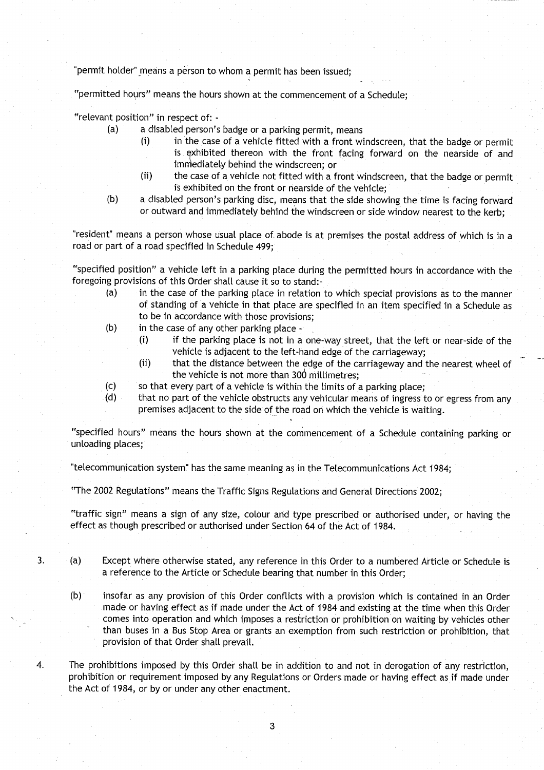permit **holder**" **means a person to whom a permit has been issued;**

"permitted hours" means the hours shown at the commencement of a Schedule;

**"relevant position**" **in respect of: -**

- **(a) a disabled person**'**s badge or a parking permit, means**
	- **(i) in the case of a vehicle fitted with a front windscreen** , **that the badge or permit is exhibited thereon with the front facing forward on the nearside of and** immediately behind the windscreen; or
	- **(ii) the case of a vehicle not fitted with a front windscreen**, **that the badge or permit** is exhibited on the front or nearside of the vehicle;
- **(b) a disabled person's parking disc, means that the side showing the time is facing forward or outward and immediately behind the windscreen or side window nearest to the kerb ;**

**"resident** " **means a person whose usual place o** f **abode is at premises the postal address of which is in a road or part of a road specified in Schedule 499 ;**

**"specified position** " **a vehicle left in a parking place during the permitted hours in accordance with the foregoing provisions of this Order shall cause it so to stand :**

- **(a) in the case of the parking place in relation to which special provisions as to the manner of standing of a vehicle in that place are specified in an item specified in a Schedule as to be in accordance with those provisions ;**
- **(b) in the case of any other parking plac e**
	- **(i) if the parking place is not in a one** -**way street**, **that the left or near-side of the vehicle is adjacent to the left**-**hand edge of the carriageway;**
	- **(ii) that the distance between the edge of the carriageway and the nearest wheel of the vehicle is not more than 306 millimetres ;**
- (c) so that every part of a vehicle is within the limits of a parking place;<br>
(d) that no part of the vehicle obstructs any vehicular means of ingress t
- **(d) that no part of the vehicle obstructs any vehicular means of ingress to or egress from any premises adjacent to the side of the road on which the vehicle is waiting .**

**"specified hours" means the hours shown at the commencement of a Schedule containing parking or unloading places;**

**"telecommunication system** " **has the same meaning as in the Telecommunications Act 1984;**

**"The 2002 Regulations**" **means the Traffic Signs Regulations and General Directions 2002 ;**

" **traffic sign** " **means a sign of any size, colour and type prescribed or authorised under** , **or having the effect as though prescribed or authorised under Section 64 of the Act of 1984 .**

- **<sup>3</sup> . (a) Except where otherwise stated**, **any reference in this Order to a numbered Article or Schedule is a reference to the Article or Schedule bearing that number in this Order ;**
	- (b) **insofar as any provision of this Order conflicts with a provision which is contained in an Order made or having effect as if made under the Act of 1984 and existing at the time when this Order comes into operation and which imposes a restriction or prohibition on waiting by vehicles other than buses in a Bus Stop Area or grants an exemption from such restriction or prohibition, that provision of that Order shall prevail.**
- **4. The prohibitions imposed by this Order shall be in addition to and not in derogation of any restriction, prohibition or requirement imposed by any Regulations or Orders made or having effect as if made under the Act of 1984, or by or under any other enactment .**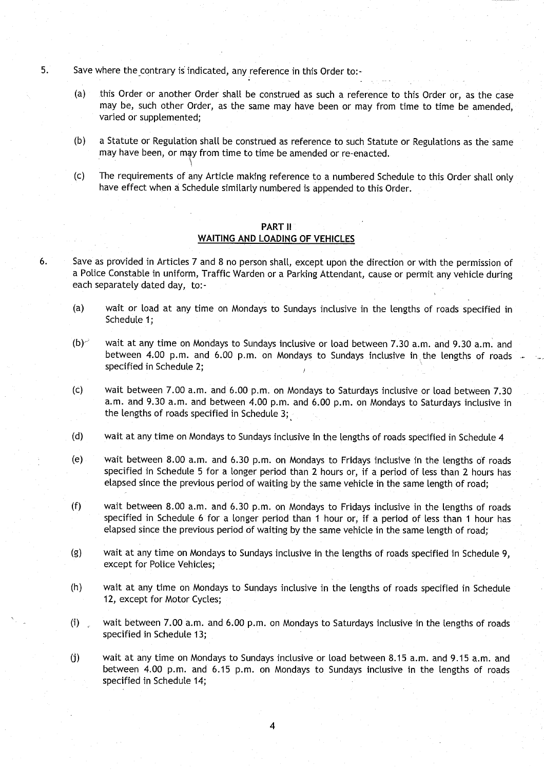- **5.** Save where the contrary is indicated, any reference in this Order to:-
	- **(a) this Order or another Order shall be construed as such a reference to this Order or, as the case may be**, **such other Order, as the same may have been or may from time to time be amended, varied or supplemented ;**
	- **(b) a Statute or Regulation shall be construed as reference to such Statute or Regulations as the same may have been** , **or m4y from time to time be amended or re** - **enacted .**
	- **(c) The requirements of any Article making reference to a numbered Schedule to this Order shall only have effect when a Schedule similarly numbered is appended to this Order .**

## **PART II WAITING AND LOADING OF VEHICLES**

- **6 . Save as provided in Articles 7 and 8 no person shall, except upon the direction or with the permission of a Police Constable in uniform** , **Traffic Warden or a Parking Attendant** , **cause or permit any vehicle during each separately dated day, to :**
	- **(a) wait or load at any time on Mondays to Sundays inclusive in the lengths of roads specified in Schedule 1 ;**
	- **(b)-':** wait **at any time on Mondays to Sundays inclusive or load between 7 .30 a** . **m. and 9** . **30 a.m . and between 4**. **00 p .m** . **and 6**. **00 p.m**. **on Mondays to Sundays inclusive in** , **the lengths of roads specified in Schedule 2 ;**
	- **(c) wait between 7.00 a**. **<sup>m</sup> . and 6** .**00 p .m** . **on Mondays to Saturdays inclusive or load between 7 .30 <sup>a</sup> .m . and 9** . **30 a .m . and between 4.00 p**. **<sup>m</sup> . and 6** . **00 p .m . on Mondays to Saturdays inclusive in the lengths of roads specified in Schedule 3 ;**
	- **(d) wait at any time on Mondays to Sundays inclusive in the lengths of roads specified in Schedule 4**
	- **(e) wait between 8 .00 a**. **m. and 6.30 p**. **m. on Mondays to Fridays inclusive in the lengths of roads specified in Schedule 5 for a longer period than 2 hours or** , **if a period of less than 2 hours has elapsed since the previous period of waiting by the same vehicle in the same length of road ;**
	- **(f) wait between 8.00 a**.**<sup>m</sup> . and 6 .30 p.m . on Mondays to Fridays inclusive in the lengths of roads specified in Schedule 6 for a longer period than 1 hour or, if a period of less than 1 hour has elapsed since the previous period of waiting by the same vehicle in the same length of** road;
	- **(g) wait at any time on Mondays to Sundays inclusive in the lengths of roads specified in Schedule 9, except for Police Vehicles;**
	- **(h) wait at any time on Mondays to Sundays inclusive in the lengths of roads specified in Schedule** 12, except for Motor Cycles;
	- **(i) wait between 7.00 a**.**<sup>m</sup> . and 6** . **00 p.m . on Mondays to Saturdays inclusive in the lengths of roads specified in Schedule 13;**
	- **(j) wait at any time on Mondays to Sundays inclusive or load between 8 .15 a.m** . **and 9**. **15 a .m . and between 4**. **00 p .m** . **and 6**. **15 p .m . on Mondays to Sundays inclusive in the lengths of roads specified in Schedule 14;**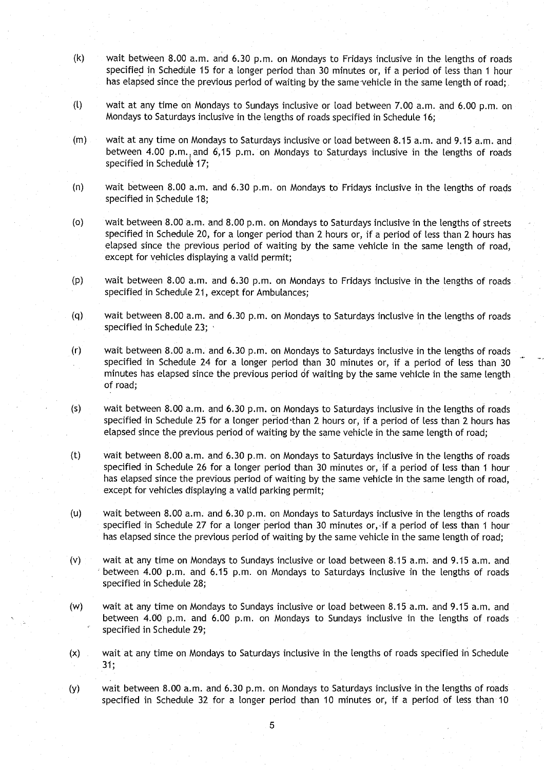- $(k)$  wait between 8.00 a.m. and 6.30 p.m. on Mondays to Fridays inclusive in the lengths of roads specified in Schedule 15 for a longer period than 30 minutes or, if a period of less than 1 hour has elapsed since the previous period of waiting by the same-vehicle in the same length of road;
- (l) wait at any time on Mondays to Sundays inclusive or load between 7.00 a.m. and 6.00 p .m . on Mondays to Saturdays inclusive in the lengths of roads specified in Schedule 16 ;
- (m) wait at any time on Mondays to Saturdays inclusive or load between 8.15 a.m. and 9.15 a.m. and between 4.00 p.m., and 6,15 p.m. on Mondays to Saturdays inclusive in the lengths of roads specified in Schedule 17;
- (n) wait between 8 .00 a.m. and 6 .30 p.m . on Mondays to Fridays inclusive in the lengths of roads specified in Schedule 18:
- (o) wait between 8.00 a .m . and 8.00 p.m. on Mondays to Saturdays inclusive in the lengths of streets specified in Schedule 20, for a longer period than 2 hours or, if a period of less than 2 hours has elapsed since the previous period of waiting by the same vehicle in the same length of road, except for vehicles displaying a valid permit;
- (p) wait between 8.00 a.m. and 6.30 p.m. on Mondays to Fridays inclusive in the lengths of roads specified in Schedule 21, except for Ambulances;
- (q) wait between 8.00 a.m. and 6.30 p.m . on Mondays to Saturdays inclusive in the lengths of roads specified in Schedule 23;
- (r) wait between 8.00 a.m . and 6.30 p .m . on Mondays to Saturdays inclusive in the lengths of roads specified in Schedule 24 for a longer period than 30 minutes or, if a period of less than 30 minutes has elapsed since the previous period of waiting by the same vehicle in the same length of road;
- $(s)$  wait between 8.00 a.m. and 6.30 p.m. on Mondays to Saturdays inclusive in the lengths of roads specified in Schedule 25 for a longer period than 2 hours or, if a period of less than 2 hours has elapsed since the previous period of waiting by the same vehicle in the same length of road;
- (t) wait between 8.00 a.m. and 6.30 p.m. on Mondays to Saturdays inclusive in the lengths of roads specified in Schedule 26 for a longer period than 30 minutes or, if a period of less than 1 hour has elapsed since the previous period of waiting by the same vehicle in the same length of road, except for vehicles displaying a valid parking permit;
- (u) wait between 8.00 a.m. and 6.30 p.m. on Mondays to Saturdays inclusive in the lengths of roads specified in Schedule 27 for a longer period than 30 minutes or,, if a period of less than 1 hour has elapsed since the previous period of waiting by the same vehicle in the same length of road;
- $(v)$  wait at any time on Mondays to Sundays inclusive or load between 8.15 a.m. and 9.15 a.m. and between 4.00 p.m. and 6.15 p.m. on Mondays to Saturdays inclusive in the lengths of roads specified in Schedule 28;
- (w) wait at any time on Mondays to Sundays inclusive or load between 8.15 a.m. and 9.15 a.m. and between 4.00 p.m. and 6.00 p.m. on Mondays to Sundays inclusive in the lengths of roads specified in Schedule 29;
- (x) wait at any time on Mondays to Saturdays inclusive in the lengths of roads specified in Schedule  $31;$
- (y) wait between 8.00 a.m. and 6.30 p.m. on Mondays to Saturdays inclusive in the lengths of roads specified in Schedule 32 for a longer period than 10 minutes or, if a period of less than 10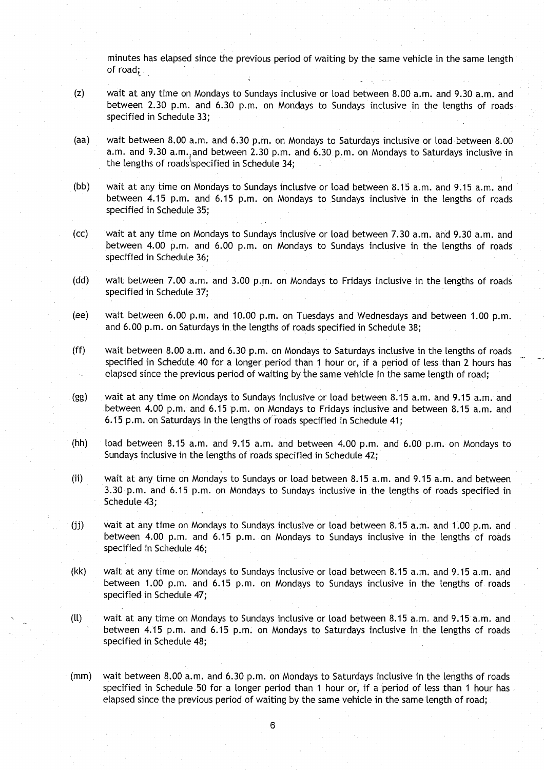minutes has elapsed since the previous period of waiting by the same vehicle in the same length of road;

- (z) wait at any time on Mondays to Sundays inclusive or load between 8 .00 a.m . and 9.30 a .m. and between 2.30 p.m. and 6.30 p.m. on Mondays to Sundays inclusive in the lengths of roads specified in Schedule 33:
- (aa) wait between 8.00 a.m. and 6.30 p.m. on Mondays to Saturdays inclusive or load between 8 .00 a.m. and 9.30 a.m., and between 2.30 p.m. and 6.30 p.m. on Mondays to Saturdays inclusive in the lengths of roads 'specified in Schedule 34;
- (bb) wait at any time on Mondays to Sundays inclusive or load between 8.15 a.m. and 9.15 a.m. and between 4.15 p.m. and 6.15 p.m. on Mondays to Sundays inclusive in the lengths of roads specified in Schedule 35;
- (cc) wait at any time on Mondays to Sundays inclusive or load between 7.30 a.m . and 9.30 a .m . and between 4.00 p.m. and 6.00 p.m. on Mondays to Sundays inclusive in the lengths of roads specified in Schedule 36;
- (dd) wait between 7.00 a.m. and 3.00 p.m. on Mondays to Fridays inclusive in the lengths of roads specified in Schedule 37;
- (ee) wait between 6.00 p.m. and 10.00 p.m. on Tuesdays and Wednesdays and between 1.00 p.m. and 6.00 p.m. on Saturdays in the lengths of roads specified in Schedule 38;
- (ff) wait between 8.00 a.m. and 6.30 p.m. on Mondays to Saturdays inclusive in the lengths of roads specified in Schedule 40 for a longer period than 1 hour or, if a period of less than 2 hours has elapsed since the previous period of waiting by the same vehicle in the same length of road;
- (gg) wait at any time on Mondays to Sundays inclusive or load between 8 .15 a.m . and 9 .15 a .m . and between 4.00 p.m. and 6 .15 p.m . on Mondays to Fridays inclusive and between 8 .15 a.m . and 6.15 p.m. on Saturdays in the lengths of roads specified in Schedule 41;
- (hh) load between 8.15 a.m. and 9.15 a.m. and between 4.00 p.m. and 6.00 p.m. on Mondays to Sundays inclusive in the lengths of roads specified in Schedule 42;
- (ii) wait at any time on Mondays to Sundays or load between 8.15 a.m. and 9.15 a.m. and between 3.30 p.m. and 6.15 p.m. on Mondays to Sundays inclusive in the lengths of roads specified in Schedule 43;
- (jj) wait at any time on Mondays to Sundays inclusive or load between 8 .15 a.m . and 1 .00 p.m . and between 4.00 p.m. and 6.15 p.m. on Mondays to Sundays inclusive in the lengths of roads specified in Schedule 46;
- (kk) wait at any time on Mondays to Sundays inclusive or load between 8.15 a.m. and 9.15 a.m. and between 1.00 p.m. and 6.15 p.m. on Mondays to Sundays inclusive in the lengths of roads specified in Schedule 47;
- (ll) wait at any time on Mondays to Sundays inclusive or load between 8 .15 a .m . and 9.15 a.m. and between 4.15 p.m. and 6.15 p.m. on Mondays to Saturdays inclusive in the lengths of roads specified in Schedule 48;
- (mm) wait between 8.00 a.m. and 6.30 p.m. on Mondays to Saturdays inclusive in the lengths of roads specified in Schedule 50 for a longer period than 1 hour or, if a period of less than 1 hour has elapsed since the previous period of waiting by the same vehicle in the same length of road;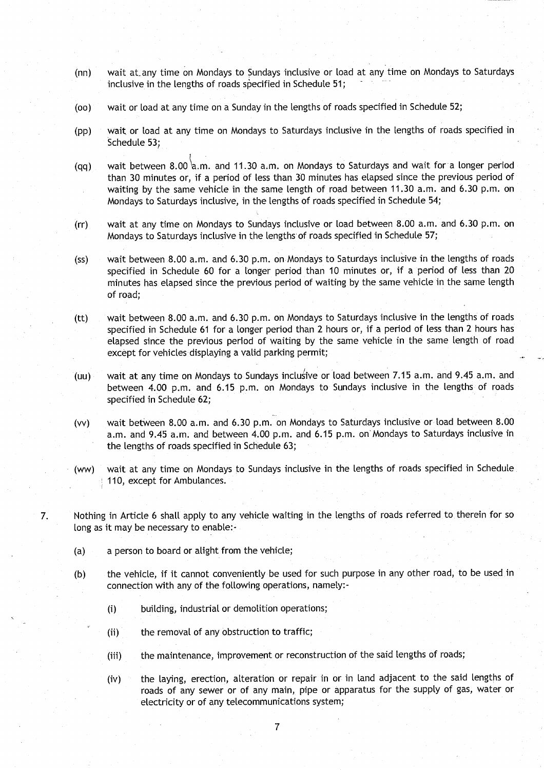- **(nn) wait** at-any **time on Mondays to Sundays inclusive or load at anytime on Mondays to Saturdays inclusive in the lengths of roads specified in Schedule 51 ;**
- **(oo) wait or load at any time on a Sunday in the lengths of roads specified in Schedule 52 ;**
- **(pp) wait or load at any time on Mondays to Saturdays inclusive in the lengths of roads specified in Schedule 53 ;**
- **(qq) wait between 8.00''a** . **<sup>m</sup> . and 11 .30 a** . **<sup>m</sup> . on Mondays to Saturdays and wait fora longer period than 30 minutes or, if a period of less than 30 minutes has elapsed since the previous period of waiting by the same vehicle in the same length of road between 11** . **30 a .m** . **and 6 .30 p .m. on Mondays to Saturdays inclusive** , **in the lengths of roads specified in Schedule 54 ;**
- **(rr) wait at any time on Mondays to Sundays inclusive or load between 8 .00 a.m. and 6**.**30 p.m . on Mondays to Saturdays inclusive in the lengths of roads specified in Schedule 57 ;**
- **(ss) wait between 8.00 a** . **<sup>m</sup> . and 6**.**30 p.m. on Mondays to Saturdays inclusive in the lengths of roads specified in Schedule 60 for a longer period than 10 minutes or** , **if a period of less than 20 minutes has elapsed since the previous period of waiting by the same** vehicle **in the same length of road ;**
- **(tt) wait between 8.00 a** . **<sup>m</sup> . and 6 .30 p.m** . **on Mondays to Saturdays inclusive in the lengths of roads specified in Schedule 61 for a longer period than 2 hours or, if a period of less than 2 hours has elapsed since the previous period of waiting by the same vehicle in the same length of road except for vehicles displaying a valid parking permit;**
- **(uu) wait at any time on Mondays to Sundays inclusive or load between 7 .15 a.m** . **and 9.45 a.m. and between 4.00 p .m**. **and 6**. **15 p.m. on Mondays to Sundays inclusive in the lengths of roads specified in Schedule 62;**
- **(vv) wait between 8 .00 a.m . and 6 .30 p**.**m. on Mondays to Saturdays inclusive or toad between 8 .00 a.m . and 9 .45 a.m. and between 4 .00 p .m . and 6** . **15 p.m . on'Mondays to Saturdays inclusive in the lengths of roads specified in Schedule 63 ;**
- **(ww) wait at any time on Mondays to Sundays inclusive in the lengths of roads specified in Schedule 110, except for Ambulances .**
- **7. Nothing in Article 6 shall apply to any vehicle waiting in the lengths of roads referred to therein for so long as it may be necessa**ry **to enable:**
	- **(a) a person to board or alight from the vehicle ;**
	- **(b) the vehicle**, **if it cannot conveniently be used for such purpose in any other road, to be used in connection with any of the following operations, namely :-**
		- **(i) building, industrial or demolition operations ;**
		- (ii) the removal of any obstruction to traffic;
		- **(iii) the maintenance**, **improvement or reconstruction of the said lengths of roads ;**
		- **(iv) the laying**, **erection** , **alteration or repair in or in land adjacent to the said lengths of roads of any sewer or of any main, pipe or apparatus for the supply of gas, water or electricity or of any telecommunications system ;**

7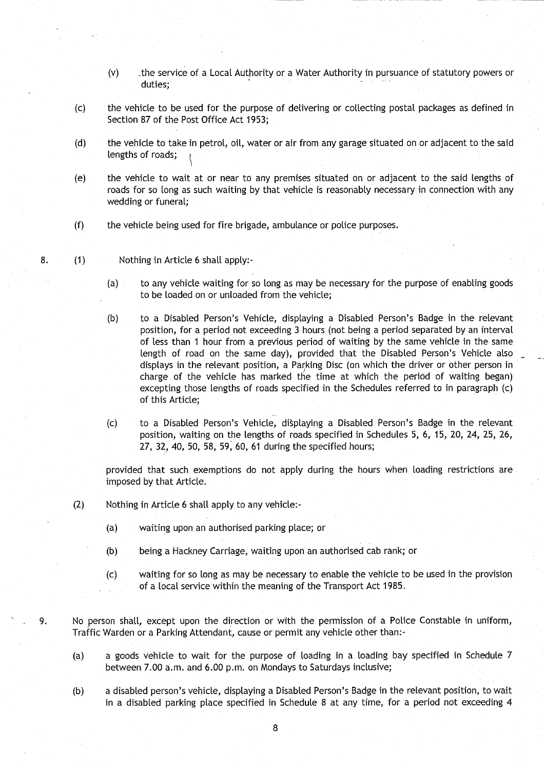- (v) the service of a Local Authority or a Water Authority in pursuance of statutory powers or duties;
- (c) the vehicle to be used for the purpose of delivering or collecting postal packages as defined in Section 87 of the Post Office Act 1953;
- (d) the vehicle to take in petrol, oil, water or air from any garage situated on or adjacent to the said lengths of roads;
- (e) the vehicle to wait at or near to any premises situated on or adjacent to the said lengths of roads for so long as such waiting by that vehicle is reasonably necessary in connection with any wedding or funeral;
- (f) the vehicle being used for fire brigade, ambulance or police purposes .
- 8. (1) Nothing in Article 6 shall apply:-
	- (a) to any vehicle waiting for so long as may be necessary for the purpose of enabling goods to be loaded on or unloaded from the vehicle;
	- (b) to a Disabled Person's Vehicle, displaying a Disabled Person's Badge in the relevant position, for a period not exceeding 3 hours (not being a period separated by an interval of less than 1 hour from a previous period of waiting by the same vehicle in the same length of road on the same day), provided that the Disabled Person's Vehicle also displays in the relevant position, a Parking Disc (on which. the driver or other person in charge of the vehicle has marked the time at which the period of waiting began) excepting those lengths of roads specified in the Schedules referred to in paragraph (c) of this Article;
	- (c) to a Disabled Person's Vehicle, displaying a Disabled Person's Badge in the relevant position, waiting on the lengths of roads specified in Schedules 5, 6, 15, 20, 24, 25, 26, 27, 32, 40, 50, 58, 59, 60, 61 during the specified hours;

provided that such exemptions do not apply during the hours when loading restrictions are imposed by that Article.

- (2) Nothing in Article 6 shall apply to any vehicle:-
	- (a) waiting upon an authorised parking place; or
	- (b) being a Hackney Carriage, waiting upon an authorised cab rank; or
	- (c) waiting for so long as may be necessary to enable the vehicle to be used in the provision of a local service within the meaning of the Transport Act 1985 .
- 9. No person shall, except upon the direction or with the permission of a Police Constable in uniform, Traffic Warden or a Parking Attendant, cause or permit any vehicle other than:-
	- (a) a goods vehicle to wait for the purpose of loading in a loading bay specified in Schedule 7 between 7.00 a.m. and 6.00 p.m. on Mondays to Saturdays inclusive;
	- (b) a disabled person's vehicle, displaying a Disabled Person's Badge in the relevant position, to wait in a disabled parking place specified in Schedule 8 at any time, for a period not exceeding 4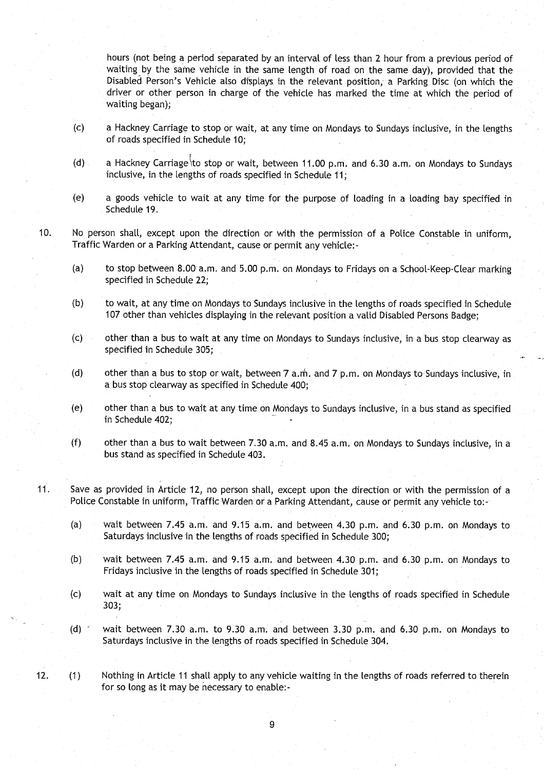hours (not being a period separated by an interval of less than 2 hour from a previous period of waiting by the same vehicle in the same length of road on the same day), provided that the Disabled Person's Vehicle also displays in the relevant position, a Parking Disc (on which the driver or other person in charge of the vehicle has marked the time at which the period of waiting began);

- (c) a Hackney Carriage to stop or wait, at any time on Mondays to Sundays inclusive, in the lengths of roads specified in Schedule 10;
- (d) a Hackney Carriage to stop or wait, between 11.00 p.m. and 6.30 a.m. on Mondays to Sundays inclusive, in the lengths of roads specified in Schedule 11;
- (e) a goods vehicle to wait at any time for the purpose of loading in a loading bay specified in Schedule 19.
- 10. No person shall, except upon the direction or with the permission of a Police Constable in uniform, Traffic Warden or a Parking Attendant, cause or permit any vehicle:-
	- (a) to stop between 8.00 a.m. and 5.00 p.m. on Mondays to Fridays on a School-Keep-Clear marking specified in Schedule 22;
	- (b) to wait, at any time on Mondays to Sundays inclusive in the lengths of roads specified in Schedule 107 other than vehicles displaying in the relevant position a valid Disabled Persons Badge;
	- (c) other than a bus to wait at any time on Mondays to Sundays inclusive, in a bus stop clearway as specified in Schedule 305;
	- (d) other than a bus to stop or wait, between  $7$  a  $m$ . and  $7$  p  $m$ . on Mondays to Sundays inclusive, in a bus stop clearway as specified in Schedule 400 ;
	- (e) other than a bus to wait at any time on Mondays to Sundays inclusive, in a bus stand as specified in Schedule 402;
	- (f) other than a bus to wait between 7 .30 a .m. and 8 .45 a .m . on Mondays to Sundays inclusive, in a bus stand as specified in Schedule 403 .
- <sup>11</sup> . Save as provided in Article 12, no person shall, except upon the direction or with the permission of a Police Constable in uniform, Traffic Warden or a Parking Attendant, cause or permit any vehicle to:
	- (a) wait between 7.45 a.m. and 9.15 a.m. and between 4.30 p.m. and 6.30 p.m. on Mondays to Saturdays inclusive in the lengths of roads specified in Schedule 300;
	- (b) wait between 7.45 a.m. and 9.15 a.m. and between 4.30 p.m. and 6.30 p.m. on Mondays to Fridays inclusive in the lengths of roads specified in Schedule 301;
	- (c) wait at any time on Mondays to Sundays inclusive in the lengths of roads specified in Schedule 303;
	- (d)  $*$  wait between 7.30 a.m. to 9.30 a.m. and between 3.30 p.m. and 6.30 p.m. on Mondays to Saturdays inclusive in the lengths of roads specified in Schedule 304 .

12. (1) Nothing in Article 11 shall apply to any vehicle waiting in the lengths of roads referred to therein for so long as it may be necessary to enable:-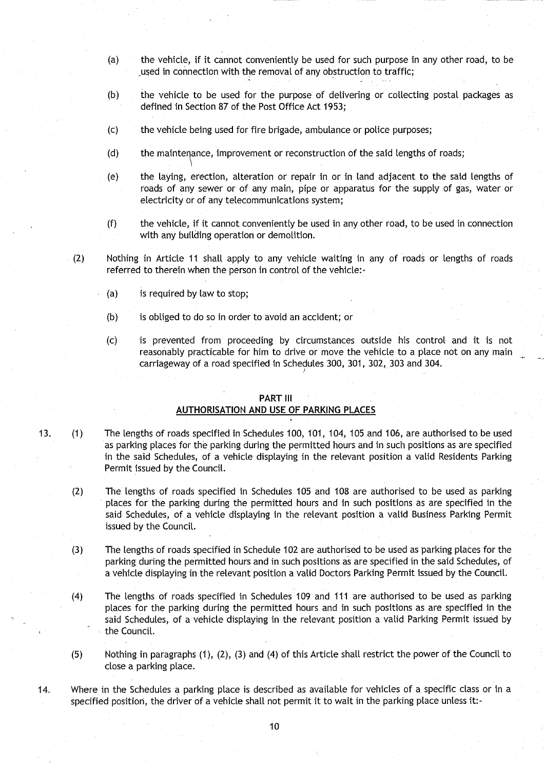- (a) the vehicle, if it cannot conveniently be used for such purpose in any other road, to be used in connection with the removal of any obstruction to traffic;
- (b) the vehicle to be used for the purpose of delivering or collecting postal packages as defined in Section 87 of the Post Office Act 1953;
- (c) the vehicle being used for fire brigade, ambulance or police purposes ;
- (d) the maintenance, improvement or reconstruction of the said lengths of roads;
- (e) the laying, erection, alteration or repair in or in land adjacent to the said lengths of roads of any sewer or of any main, pipe or apparatus for the supply of gas, water or electricity or of any telecommunications system ;
- (f) the vehicle, if it cannot conveniently be used in any other road, to be used in connection with any building operation or demolition.
- (2) Nothing in Article 11 shall apply to any vehicle waiting in any of roads or lengths of roads referred to therein when the person in control of the vehicle:-
	- (a) is required by law to stop;
	- $(b)$  is obliged to do so in order to avoid an accident; or
	- (c) is prevented from proceeding by circumstances outside his control and it is not reasonably practicable for him to drive or move the vehicle to a place not on any main carriageway of a road specified in Schedules 300, 301, 302, 303 and 304.

#### PART III

## **AUTHORISATION AND USE OF PARKING PLACES**

- 13 . (1) The lengths of roads specified in Schedules 100, 101, 104, 105 and 106, are authorised to be used as parking places for the parking during the permitted hours and in such positions as are specified in the said Schedules, of a vehicle displaying in the relevant position a valid Residents Parking Permit issued by the Council.
	- (2) The lengths of roads specified in Schedules 105 and 108 are authorised to be used as parking places for the parking during the permitted hours and in such positions as are specified in the said Schedules, of a vehicle displaying in the relevant position a valid Business Parking Permit issued by the Council.
	- $(3)$  The lengths of roads specified in Schedule 102 are authorised to be used as parking places for the parking during the permitted hours and in such positions as are specified in the said Schedules, of a vehicle displaying in the relevant position a valid Doctors Parking Permit issued by the Council .
	- (4) The lengths of roads specified in Schedules 109 and 111 are authorised to be used as parking places for the parking during the permitted hours and in such positions as are specified in the said Schedules, of a vehicle displaying in the relevant position a valid Parking Permit issued by the Council.
	- (5) Nothing in paragraphs (1), (2), (3) and (4) of this Article shall restrict the power of the Council to close a parking place.
- 14. Where in the Schedules a parking place is described as available for vehicles of a specific class or in a specified position, the driver of a vehicle shall not permit it to wait in the parking place unless it:-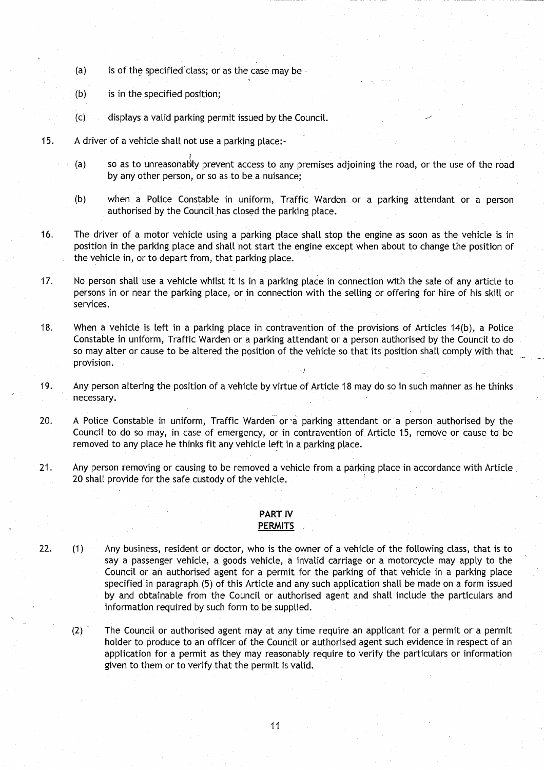- (a) is of the specified class; or as the case may be -
- (b) is in the specified position;
- (c) displays a valid parking permit issued by the Council.
- 15. A driver of a vehicle shall not use a parking place:-
	- (a) so as to unreasonably prevent access to any premises adjoining the road, or the use of the road by any other person, or so as to be a nuisance;
	- (b) when a Police Constable in uniform, Traffic Warden or a parking attendant or a person authorised by the Council has closed the parking place .
- 16. The driver of a motor vehicle using a parking place shall stop the engine as soon as the vehicle is in position in the parking place and shall not start the engine except when about to change the position of the vehicle in, or to depart from, that parking place.
- 17. No person shall use a vehicle whilst it is in a parking place in connection with the sale of any article to persons in or near the parking place, or in connection with the selling or offering for hire of his skill or services.
- 18. When a vehicle is left in a parking place in contravention of the provisions of Articles 14(b), a Police Constable in uniform, Traffic Warden or a parking attendant or a person authorised by the Council to do so may alter or cause to be altered the position of the vehicle so that its position shall comply with that provision.
- 19. Any person altering the position of a vehicle by virtue of Article 18 may do so in such manner as he thinks necessary.
- 20. A Police Constable in uniform, Traffic Warden or a parking attendant or a person authorised by the Council to do so may, in case of emergency, or in contravention of Article 15, remove or cause to be removed to any place he thinks fit any vehicle left in a parking place .
- 21. Any person removing or causing to be removed a vehicle from a parking place in accordance with Article 20 shall provide for the safe custody of the vehicle.

### PART IV **PERMITS**

- 22. (1) Any business, resident or doctor, who is the owner of a vehicle of the following class, that is to say a passenger vehicle, a goods vehicle, a invalid carriage or a motorcycle may apply to the Council or an authorised agent for a permit for the parking of that vehicle in a parking place specified in paragraph (5) of this Article and any such application shall be made on a form issued by and obtainable from the Council or authorised agent and shall include the particulars and information required by such form to be supplied.
	- $(2)$  The Council or authorised agent may at any time require an applicant for a permit or a permit holder to produce to an officer of the Council or authorised agent such evidence in respect of an application for a permit as they may reasonably require to verify the particulars or information given to them or to verify that the permit is valid.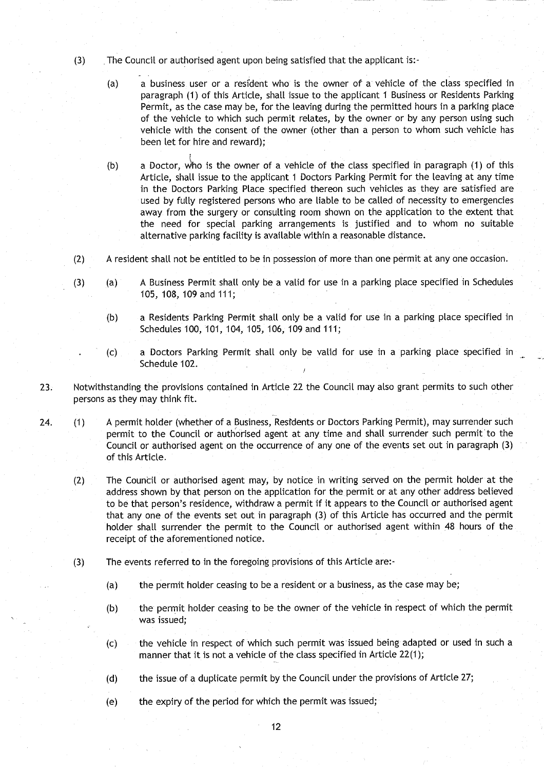- (3) The Council or authorised agent upon being satisfied that the applicant is:-
	- (a) a business user or a resident who is the owner of a vehicle of the class specified in paragraph (1) of this Article, shall issue to the applicant 1 Business or Residents Parking Permit, as the case may be, for the leaving during the permitted hours in a parking place of the vehicle to which such permit relates, by the owner or by any person using such vehicle with the consent of the owner (other than a person to whom such vehicle has been let for hire and reward);
	- (b) a Doctor, v)ho is the owner of a vehicle of the class specified in paragraph (1) of this Article, shall issue to the applicant **<sup>I</sup>** Doctors Parking Permit for the leaving at any time in the Doctors Parking Place specified thereon such vehicles as they are satisfied are used by fully registered persons who are liable to be called of necessity to emergencies away from the surgery or consulting room shown on the application to the extent that the need for special parking arrangements is justified and to whom no suitable alternative parking facility is available within a reasonable distance .
- (2) A resident shall not be entitled to be in possession of more than one permit at any one occasion .
- (3) (a) A Business Permit shall only be a valid for use in a parking place specified in Schedules 105, 108, 109 and 111 ;
	- (b) a Residents Parking Permit shall only be a valid for use in a parking place specified in Schedules 100, 101, 104, 105, 106, 109 and 111;
	- (c) a Doctors Parking Permit shall only be valid for use in a parking place specified in Schedule 102.
- 23. Notwithstanding the provisions contained in Article 22 the Council may also grant permits to such other persons as they may think fit.

24. (1) A permit holder (whether of a Business, Residents or Doctors Parking Permit), may surrender such permit to the Council or authorised agent at any time and shall surrender such permit to the Council or authorised agent on the occurrence of any one of the events set out in paragraph (3) of this Article.

- (2) The Council or authorised agent may, by notice in writing served on the permit holder at the address shown by that person on the application for the permit or at any other address believed to be that person's residence, withdraw a permit if it appears to the Council or authorised agent that any one of the events set out in paragraph (3) of this Article has occurred and the permit holder shall surrender the permit to the Council or authorised agent within 48 hours of the receipt of the aforementioned notice .
- (3) The events referred to in the foregoing provisions of this Article are:-
	- (a) the permit holder ceasing to be a resident or a business, as the case may be;
	- (b) the permit holder ceasing to be the owner of the vehicle in respect of which the permit was issued;
	- (c) the vehicle in respect of which such permit was issued being adapted or used in such a manner that it is not a vehicle of the class specified in Article 22(1);
	- (d) the issue of a duplicate permit by the Council under the provisions of Article 27;
	- (e) the expiry of the period for which the permit was issued;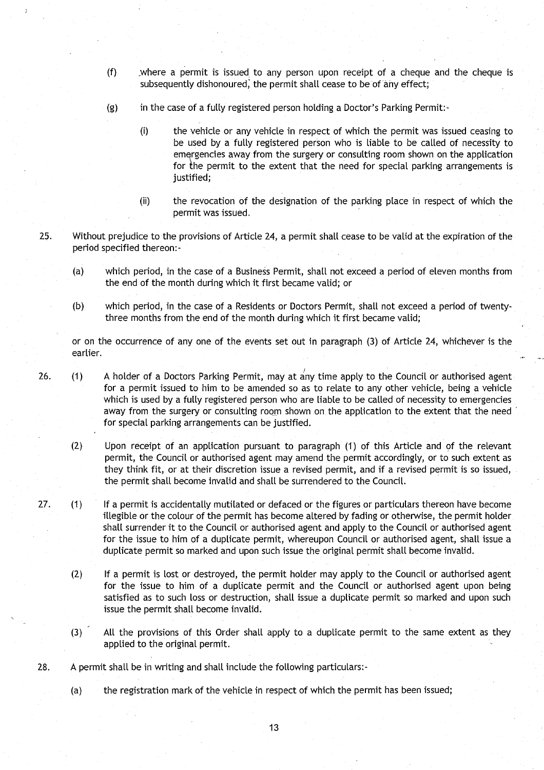- (f) where a permit is issued to any person upon receipt of a cheque and the cheque is subsequently dishonoured, the permit shall cease to be of any effect;
- (g) in the case of a fully registered person holding a Doctor's Parking Permit:-
	- (i) the vehicle or any vehicle in respect of which the permit was issued ceasing to be used by a fully registered person who is liable to be called of necessity to emergencies away from the surgery or consulting room shown on the application for the permit to the extent that the need for special parking arrangements is justified;
	- (ii) the revocation of the designation of the parking place in respect of which the permit was issued.
- 25 . Without prejudice to the provisions of Article 24, a permit shall cease to be valid at the expiration of the period specified thereon:-
	- (a) which period, in the case of a Business Permit, shall not exceed a period of eleven months from the end of the month during which it first became valid; or
	- (b) which period, in the case of a Residents or Doctors Permit, shall not exceed a period of twentythree months from the end of the month during which it first became valid;

or on the occurrence of any one of the events set out in paragraph (3) of Article 24, whichever is the earlier.

- 26. (1) A holder of a Doctors Parking Permit, may at any time apply to the Council or authorised agent for a permit issued to him to be amended so as to relate to any other vehicle, being a vehicle which is used by a fully registered person who are liable to be called of necessity to emergencies away from the surgery or consulting room shown on the application to the extent that the need for special parking arrangements can be justified.
	- (2) Upon receipt of an application pursuant to paragraph (1) of this Article and of the relevant permit, the Council or authorised agent may amend the permit accordingly, or to such extent as they think fit, or at their discretion issue a revised permit, and if a revised permit is so issued, the permit shall become invalid and shall be surrendered to the Council.
- 27. (1) If a permit is accidentally mutilated or defaced or the figures or particulars thereon have become illegible or the colour of the permit has become altered by fading or otherwise, the permit holder shall surrender it to the Council or authorised agent and apply to the Council or authorised agent for the issue to him of a duplicate permit, whereupon Council or authorised agent, shall issue a duplicate permit so marked and upon such issue the original permit shall become invalid.
	- (2) If a permit is lost or destroyed, the permit holder may apply to the Council or authorised agent for the issue to him of a duplicate permit and the Council or authorised agent upon being satisfied as to such loss or destruction, shall issue a duplicate permit so marked and upon such issue the permit shall become invalid.
	- (3) All the provisions of this Order shall apply to a duplicate permit to the same extent as they applied to the original permit.
- 28. A permit shall be in writing and shall include the following particulars:-

(a) the registration mark of the vehicle in respect of which the permit has been issued;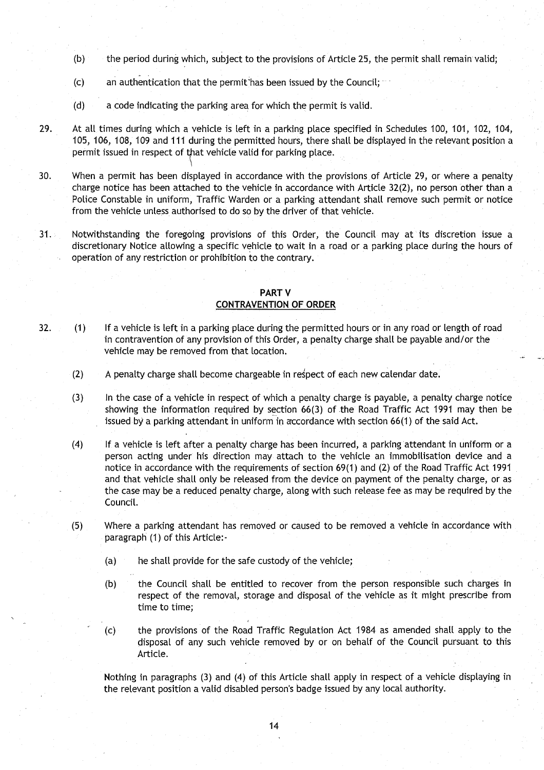- (b) the period during which, subject to the provisions of Article 25, the permit shall remain valid;
- $(c)$  an authentication that the permit has been issued by the Council;
- (d) a code indicating the parking area for which the permit is valid.
- 29. At all times during which a vehicle is left in a parking place specified in Schedules 100, 101, 102, 104, 105, 106, **108, 109 and 111 during** the permitted hours, there shall be displayed in the relevant position a permit issued in respect of that vehicle valid for parking place .
- 30. When a permit has been displayed in accordance with the provisions of Article 29, or where a penalty charge notice has been attached to the vehicle in accordance with Article 32(2), no person other than a Police Constable in uniform, Traffic Warden or a parking attendant shall remove such permit or notice from the vehicle **unless**, authorised to do so by the driver of that vehicle .
- 31 . Notwithstanding the foregoing provisions of this Order, the Council may at its discretion issue a discretionary Notice allowing a specific vehicle to wait in a road or a parking place during the hours of operation of any restriction or prohibition to the contrary .

#### PART V CONTRAVENTION **OF ORDER**

- 32. (1) If a vehicle is left in a parking place during the permitted hours or in any road or length of road in contravention of any provision of this Order, a penalty charge shall be payable and/or the vehicle may be removed from that location.
	- (2) A penalty charge shall become chargeable in respect of each new calendar date .
	- (3) In the case of a vehicle in respect of which a penalty charge is payable, a penalty charge notice showing the information required by section 66(3) of the Road Traffic Act 1991 may then be issued by a parking attendant in uniform in accordance with section 66(1) of the said Act .
	- (4) If a vehicle is left after a penalty charge has been incurred, a parking attendant in uniform or a person acting under his direction may attach to the vehicle an immobilisation device and a notice in accordance with the requirements of section 69(1) and (2) of the Road Traffic Act 1991 and that vehicle shall only be released from the device on payment of the penalty charge, or as the case may be a reduced penalty charge, along with such **release** fee as may be required by the Council.
	- (5) Where a parking attendant has removed or caused to be removed a vehicle in accordance with paragraph (1) of this Article:-
		- (a) he shall provide for the safe custody of the vehicle;
		- (b) the Council shall be entitled to recover from the person responsible such charges in respect of the removal, storage and disposal of the vehicle as it might prescribe from time to time;
		- (c) the provisions of the Road Traffic Regulation Act 1984 as amended shall apply to the disposal of any such vehicle removed by or on behalf of the Council pursuant to this Article.

Nothing in paragraphs (3) and (4) of this Article shall apply in respect of a vehicle displaying in the relevant position a valid disabled person's badge issued by any local authority .

14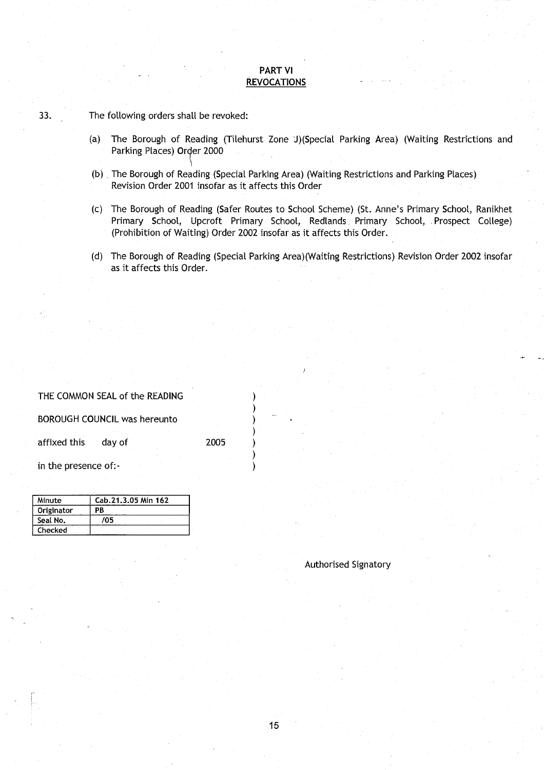## PART VI **REVOCATIONS**

33. The following orders shall be revoked:

- (a) The Borough of Reading (Tilehurst Zone J)(Special Parking Area) (Waiting Restrictions and Parking Places) Order 2000
- (b) The Borough of Reading (Special Parking Area) (Waiting Restrictions and Parking Places) Revision Order 2001 insofar as it affects this Order
- (c) The Borough of Reading (Safer Routes to School Scheme) (St . Anne's Primary School, Ranikhet Primary School, Upcroft Primary School, Redlands Primary School, Prospect College) (Prohibition of Waiting) Order 2002 insofar as it affects this Order .
- (d) The Borough **of Reading** (Special Parking Area)(Waiting Restrictions) Revision Order 2002 insofar as it affects this Order.

#### THE COMMON SEAL of the READING

BOROUGH COUNCIL was hereunto )

affixed this day of 2005

in the presence of:-

| Minute     | Cab.21.3.05 Min 162 |
|------------|---------------------|
| Originator | РB                  |
| Seal No.   | 705                 |
| Checked    |                     |

Authorised Signatory

15

 $\lambda$  $\lambda$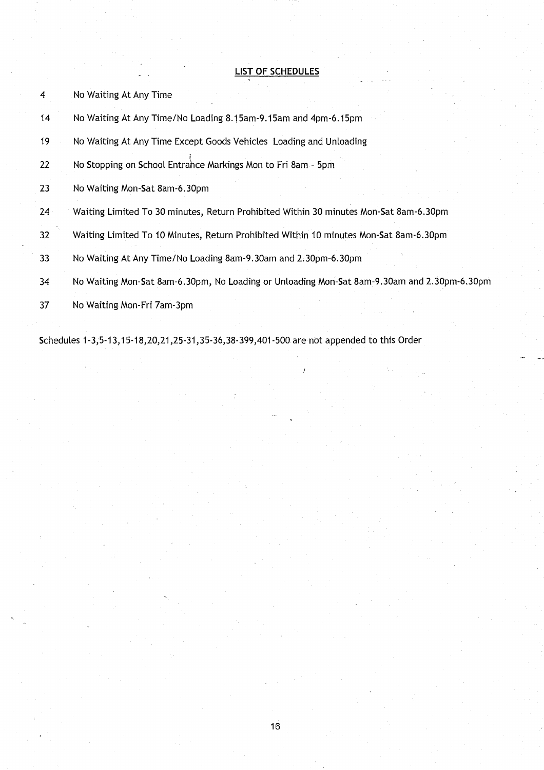# LIST OF SCHEDULES

- 4 No Waiting At Any Time
- 14 No Waiting At Any Time/No Loading 8 .15am-9 .15am and 4pm-6.15pm
- 19 No Waiting At Any Time Except Goods Vehicles Loading and Unloading
- 22 No Stopping on School Entrance Markings Mon to Fri 8am 5pm
- 23 No Waiting Mon-Sat 8am-6.30pm
- 24 Waiting Limited To 30 minutes, Return Prohibited Within 30 minutes Mon-Sat 8am-6 .30pm
- 32 Waiting Limited To 10 Minutes, Return Prohibited Within 10 minutes Mon-Sat 8am-6 .30pm
- 33 No Waiting At Any Time/No Loading 8am-9 .30am and 2 .30pm-6 .30pm
- 34 No Waiting Mon-Sat 8am-6 .30pm, No Loading or Unloading Mon-Sat 8am-9 .30am and 2.30pm-6 .30pm
- 37 No Waiting Mon-Fri 7am-3pm

Schedules 1-3,5-13,15-18,20,21,25-31,35-36,38-399,401-500 are not appended to this Order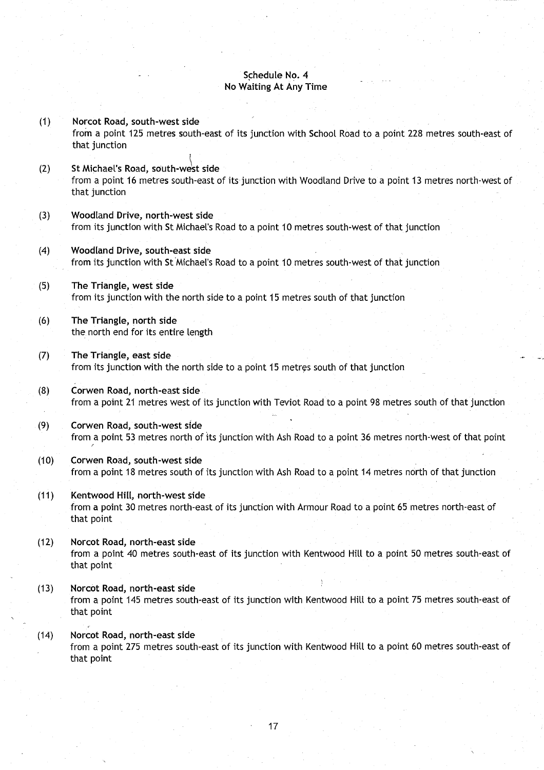## **Schedule No . 4 No Waiting** At Any Time

**(1) Norcot Road**, **south**-**west side** from a point 125 metres south-east of its junction with School Road to a point 228 metres south-east of that junction **(2) St Michael**' **s Road, south**-**west side** from a point 16 metres south-east of its junction with Woodland Drive to a point 13 metres north-west of that junction (3) Woodland **Drive**, **north**-**west side** from its junction with St Michael's Road to a point 10 metres south-west of that junction **(4) Woodland** Drive, **south**-**east side** from its junction with St Michael's Road to a point 10 metres south-west of that junction (5) The Triangle, **west side** from its junction with the north side to a point 15 metres south of that junction (6) The **Triangle, north side** the north end for its entire length (7) The Triangle, **east side** from its junction with the north side to a point 15 metres south of that junction (8) Corwen **Road**, **north**-**east side** from a point 21 metres west of its junction with Teviot Road to a point 98 metres south of that junction (9) Corwen **Road, south**-**west side** from a point 53 metres north of its junction with Ash Road to a point 36 metres north-west of that point (10) Corwen **Road**, **south** -**west side** from a point 18 metres south of its junction with Ash Road to a point 14 metres north of that junction **(11) Kentwood Hill, north**-**west side** from a point 30 metres north-east of its junction with Armour Road to a point 65 metres north-east of that point **(12) Norcot Road**, **north**-**east side** from a point 40 metres south-east of its junction with Kentwood Hill to a point 50 metres south-east of that point **(13) Norcot Road**, **north** -**east side** from a point 145 metres south-east of its junction with Kentwood Hilt to a point 75 metres south-east of that point **(14) Norcot Road**, **north**-**east side** from a point 275 metres south-east of its junction with Kentwood Hill to a point 60 metres south-east of

that point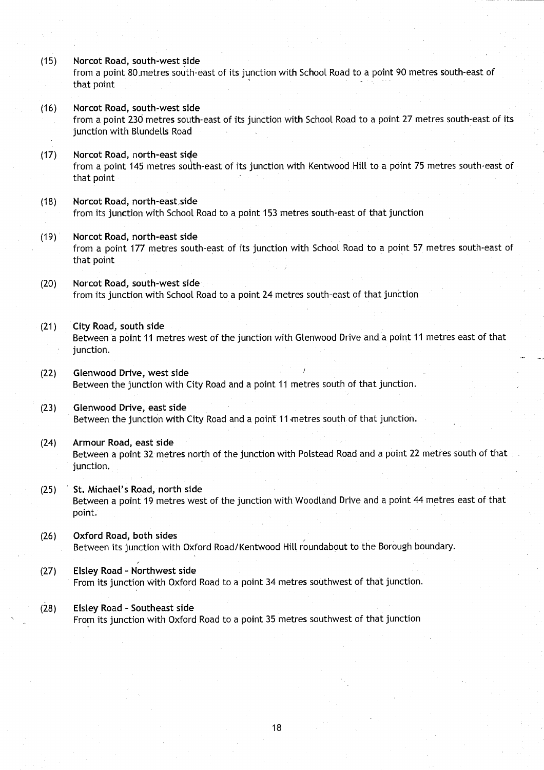**(15) Norcot Road**, **south**-**west side**

from a point 80 metres south-east of its junction with School Road to a point 90 metres south-east of that point

- **(16) Norcot Road**, **south**-**west side** from a point 230 metres south-east of its junction with School Road to a point 27 metres south-east of its junction with Blundells Road
- (17) Norcot **Road, north-east si <sup>e</sup>** from a point 145 metres sodth-east of its junction with Kentwood Hill to a point 75 metres south-east of that point
- **(18) Norcot Road**, **north**-**east,side** from its junction with School Road to a point 153 metres south-east of that junction
- **(19) Norcot Road**, **north**-**east side** from a point 177 metres south-east of its junction with School Road to a point 57 metres south-east of that point
- (20) Norcot **Road**, **south**-**west side** from its junction with School Road to a point 24 metres south-east of that junction
- (21) City Road, **south side**

Between a point 11 metres west of the junction with Glenwood Drive and a point 11 metres east of that junction.

- **(22) Glenwood Drive** , **west side** Between the junction with City Road and a point 11 metres south of that junction .
- **(23) Glenwood Drive**, **east side** Between the junction with City Road and a point 11 metres south of that junction .
- (24) Armour **Road**, **east side** Between a point 32 metres north of the junction with Polstead Road and a point 22 metres south of that junction.
- (25) St. **Michael**' **s Road**, **north side** Between a point 19 metres west of the junction with Woodland Drive and a point 44 metres east of that point.
- (26) Oxford **Road, both side <sup>s</sup>** Between its junction with Oxford Road/Kentwood Hill roundabout to the Borough boundary.
- **(27)** Elsley Road Northwest side From its junction with Oxford Road to a point 34 metres southwest of that junction .
- **(28) Elsley Road Southeast side** From its junction with Oxford Road to a point 35 metres southwest of that junction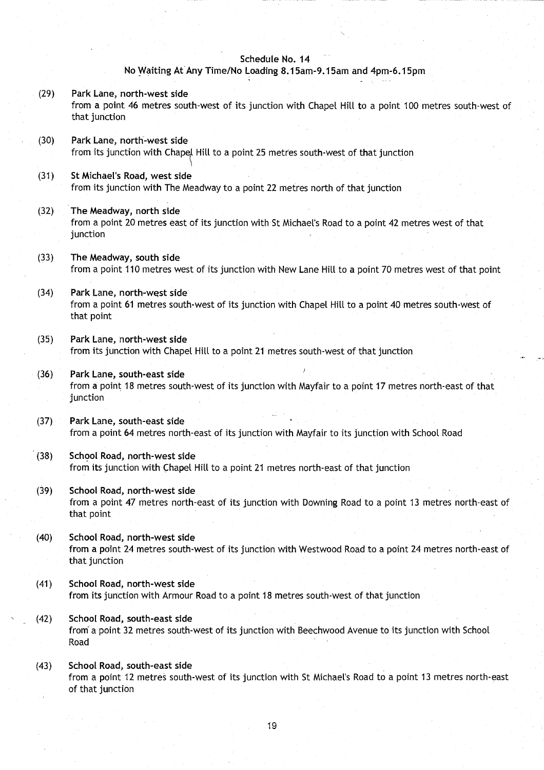#### **Schedule No. 14**

## **No Waiting** At Any Time/**No Loading 8.15am-9**. **15am and 4pm-6 .15pm**

- **(29) Park Lane**, **north-west side** from a point 46 metres south-west of its junction with Chapel Hill to a point 100 metres south-west of that junction
- **(30) Park Lane**, **north**-**west side** from its junction with Chapel Hill to a point 25 metres south-west of that junction
- (31) St Michael'**s Road**, **west side** from its junction with The Meadway to a point 22 metres north of that junction
- (32) The **Meadway** , **north side** from a point 20 metres east of its junction with St Michael's Road to a point 42 metres west of that junction
- (33) The Meadway, **south side** from a point 110 metres west of its junction with New Lane Hill to a point 70 metres west of that point
- (34) Park Lane, **north**-west side from a point 61 metres south-west of its junction with Chapel Hill to a point 40 metres south-west of that point
- **(35) Park Lane**, **north**-**west side** from its junction with Chapel Hill to a point 21 metres south-west of that junction
- **(36) Park Lane, south-east side** from a point 18 metres south-west of its junction with Mayfair to a point 17 metres north-east of that junction
- (37) Park Lane, **south**-**east side** from a point 64 metres north-east of its junction with Mayfair to its junction with School Road
- **(38)** School Road, north-west side from its junction with Chapel Hill to a point 21 metres north-east of that junction
- **(39) School Road**, **north**-**west side** from a point 47 metres north-east of its junction with Downing Road to a point 13 metres north-east of that point
- **(40) School Road**, **north** -**west side** from a point 24 metres south-west of its junction with Westwood Road to a point 24 metres north-east of that junction
- **(41) School Road**, **north**-**west side** from its junction with Armour Road to a point 18 metres south-west of that junction
- **(42) School Road**, **south**-**east side** from a point 32 metres south-west of its junction with Beechwood Avenue to its junction with School Road
- **(43) School Road**, **south-east side** from a point 12 metres south-west of its junction with St Michael's Road to a point 13 metres north-east of that junction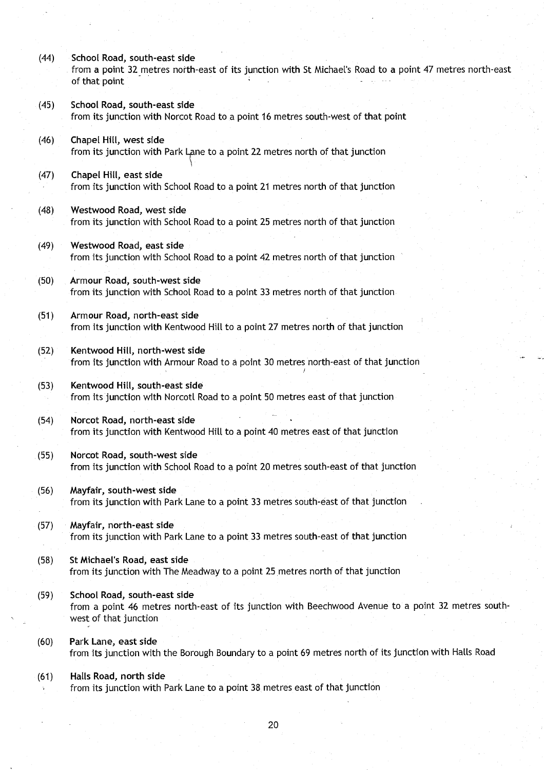- (44) School **Road**, **south**-**east side** from a point 32 metres north-east of its junction with St Michael's Road to a point 47 metres north-east of that point
- **(45) School Road**, **south-east sid e** from its junction with Norcot Road to a point 16 metres south-west of that point
- (46) Chapel **Hill, west side** from its junction with Park Lane to a point 22 metres north of that junction

ti

- (47) Chapel Hill, **east side** from its junction with School Road to a point 21 metres north of that junction
- (48) Westwood **Road**, **west side** from its junction with School Road to a point 25 metres north of that junction
- (49) Westwood **Road**, **east side** from its junction with School Road to a point 42 metres north of that junction
- (50) Armour **Road**, **south**-**west side** from its junction with School Road to a point 33 metres north of that junction
- **(51) Armour Road, north-east side** from its junction with Kentwood Hill to a point 27 metres north of that junction
- **(52) Kentwood Hill, north**-**west side** from its junction with Armour Road to a point 30 metres north-east of that junction
- **(53) Kentwood Hill, south**-**east side** from its junction with Norcotl Road to a point 50 metres east of that junction
- **(54) Norcot Road**, **north** -**east side** from its junction with Kentwood Hill to a point 40 metres east of that junction
- **(55) Norcot Road, south**-**west side** from its junction with School Road to a point 20 metres south-east of that junction
- (56) Mayfair, **south-west side** from its junction with Park Lane to a point 33 metres south-east of that junction
- (57) Mayfair, **north**-**east side** from its junction with Park Lane to a point 33 metres south-east of that junction
- **(58) St Michael**'**s Road, east side** from its junction with The Meadway to a point 25 metres north of that junction
- **(59) School Road**, **south**-**east side** from a point 46 metres north-east of its junction with Beechwood Avenue to a point 32 metres southwest of that junction
- **(60) Park Lane, east side** from its junction with the Borough Boundary to a point 69 metres north of its junction with Halls Road

### **(61) Halls Road**, **north side** from its junction with Park Lane to a point 38 metres east of that junction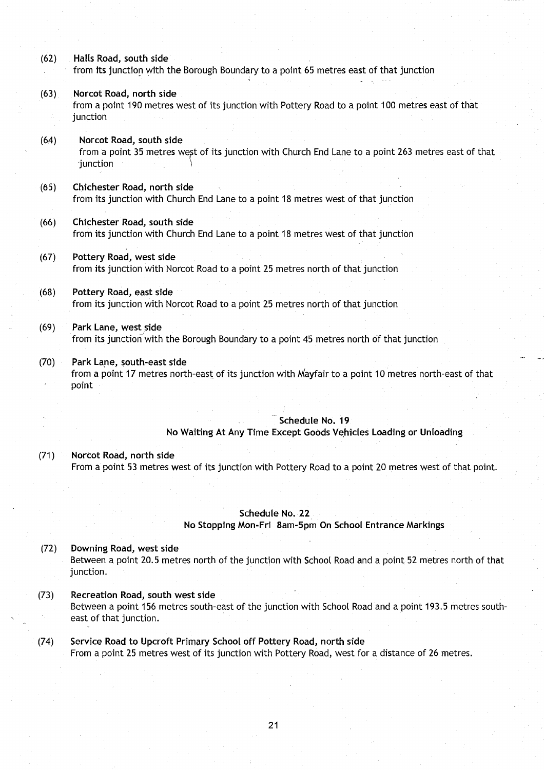- **(62) Halls Road**, **south sid e** from its junction with the Borough Boundary to a point 65 metres east of that junction
- **(63) Norcot Road**, **north side** from a point 190 metres west of its junction with Pottery Road to a point 100 metres east of that junction
- **(64) Norcot Road**, **south side** from a point 35 metres west of its junction with Church End Lane to a point 263 metres east of that junction
- **(65) Chichester Road** , **north side** from its junction with Church End Lane to a point 18 metres west of that junction
- **(66) Chichester Road**, **south side** from its junction with Church End Lane to a point 18 metres west of that junction
- (67) Pottery **Road, west side** from its junction with Norcot Road to a point 25 metres north of that junction
- **(68) Potte**ry **Road**, **east side** from its junction with Norcot Road to a point 25 metres north of that junction
- **(69) Park Lane**, **west side** from its junction with the Borough Boundary to a point 45 metres north of that junction
- (70) Park Lane, **south**-**east side** from a point 17 metres north-east of its junction with Mayfair to a point 10 metres north-east of that point

## **Schedule No . 1 9**

**No Waiting** At Any Time **Except Goods Vehicles Loading or Unloading**

**(71) Norcot Road**, **north side** From a point 53 metres west of its junction with Pottery Road to a point 20 metres west of that point .

#### **Schedule No. 22**

**No Stopping Mon-Fri 8am-5pm On School Entrance Markings**

# **(72) Downing Road**, **west side** Between a point 20.5 metres north of the junction with School Road and a point 52 metres north of that junction.

- **(73) Recreation Road** , **south west side** Between a point 156 metres south-east of the junction with School Road and a point 193.5 metres southeast of that junction.
- (74) Service **Road to Upcroft** Primary School off Pottery **Road**, **north side** From a point 25 metres west of its junction with Pottery Road, west for a distance of 26 metres .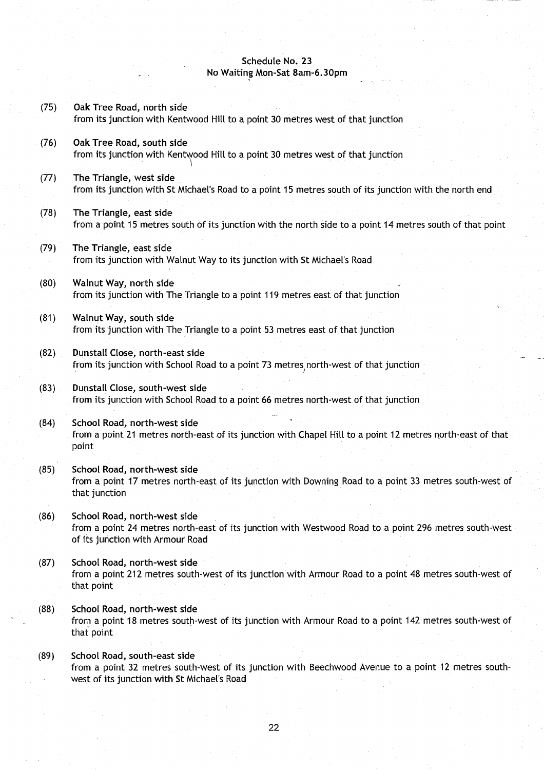#### **Schedule No. 23 No Waiting Mon-Sat 8am-6 .30pm**

- (75) Oak Tree **Road, north side** from its junction with Kentwood Hill to a point 30 metres west of that junction
- (76) Oak Tree **Road**, **south side** from its junction with Kentwood Hill to a point 30 metres west of that junction
- (77) The **Triangle**, **west side** from its junction with St Michael's Road to a point 15 metres south of its junction with the north end
- (78) The Triangle, **east side** from a point 15 metres south of its junction with the north side to a point 14 metres south of that point
- (79) The Triangle**, east side** from its junction with Walnut Way to its junction with St Michael's Road
- (80) Walnut Way**, north side** from its junction with The Triangle to a point 119 metres east of that junction
- **(81)** Walnut Way, south side from its junction with The Triangle to a point 53 metres east of that junction
- **(82) Dunstall Close, north** -**east side** from its junction with School Road to a point 73 metres north-west of that junction
- **(83)** Dunstall Close, south-west side from its junction with School Road to a point 66 metres north-west of that junction
- **(84) School Road**, **north**-**west side** from a point 21 metres north-east of its junction with Chapel Hill to a point 12 metres north-east of that point
- **(85) School Road, north** -**west side** from a point 17 metres north-east of its junction with Downing Road to a point 33 metres south-west of that junction
- **(86) School Road**, **north-west side** from a point 24 metres north-east of its junction with Westwood Road to a point 296 metres south-west of its junction with Armour Road
- **(87) School Road**, **north** -**west side** from a point 212 metres south-west of its junction with Armour Road to a point 48 metres south-west of that point
- **(88) School Road**, **north**-**west side** from a point 18 metres south-west of its junction with Armour Road to a point 142 metres south-west of that point
- **(89) School Road**, **south-east side** from a point 32 metres south-west of its junction with Beechwood Avenue to a point 12 metres southwest of its junction with St Michael's Road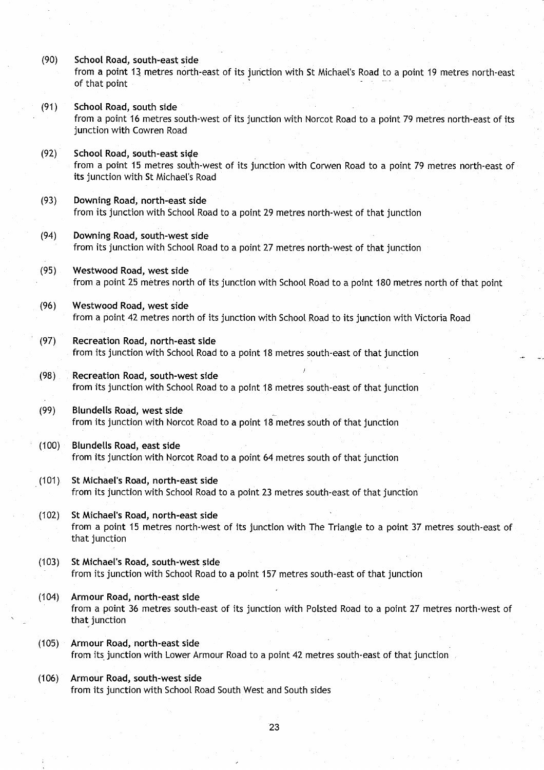- **(90) School Road**, **south**-**east side** from a point 13 metres north-east of its junction with St Michael's Road to a point 19 metres north-east of that point
- **(91) School Road**, **south side** from a point 16 metres south-west of its junction with Norcot Road to a point 79 metres north-east of its junction with Cowren Road
- **(92) School Road**, **south**-**east side** from a point 15 metres south-west of its junction with Corwen Road to a point 79 metres north-east of its junction with St Michael's Road
- **(93) Downing Road**, **north**-**east side** from its junction with School Road to a point 29 metres north-west of that junction
- **(94) Downing Road**, **south**-**west side** from its junction with School Road to a point 27 metres north-west of that junction
- **(95) Westwood Road**, **west side** from a point 25 metres north of its junction with School Road to a point 180 metres north of that point
- (96) Westwood **Road**, **west side** from a point 42 metres north of its junction with School Road to its junction with Victoria Road
- **(97) Recreation Road**, **north**-**east side** from its junction with School Road to a point 18 metres south-east of that junction
- **(98) Recreation Road**, **south**-**west side** from its junction with School Road to a point 18 metres south-east of that junction
- **(99) Blundells Road**, west side from its junction with Norcot Road to a point 18 metres south of that junction
- **(100) Blundells Road**, **east side** from its junction with Norcot Road to a point 64 metres south of that junction
- (101) St Michael **'s Road**, **north**-**east side** from its junction with School Road to a point 23 metres south-east of that junction
- (102) St Michael'**s Road**, **north**-**east side** from a point 15 metres north-west of its junction with The Triangle to a point 37 metres south-east of that junction
- **(103) St Michael**' **s Road**, **south**-**west side** from its junction with School Road to a point 157 metres south-east of that junction
- (104) Armour **Road, north**-**east side** from a point 36 metres south-east of its junction with Polsted Road to a point 27 metres north-west of that junction
- (105) Armour **Road, north-east side** from its junction with Lower Armour Road to a point 42 metres south-east of that junction
- **(106) Armour Road**, **south**-**west side** from its junction with School Road South West and South sides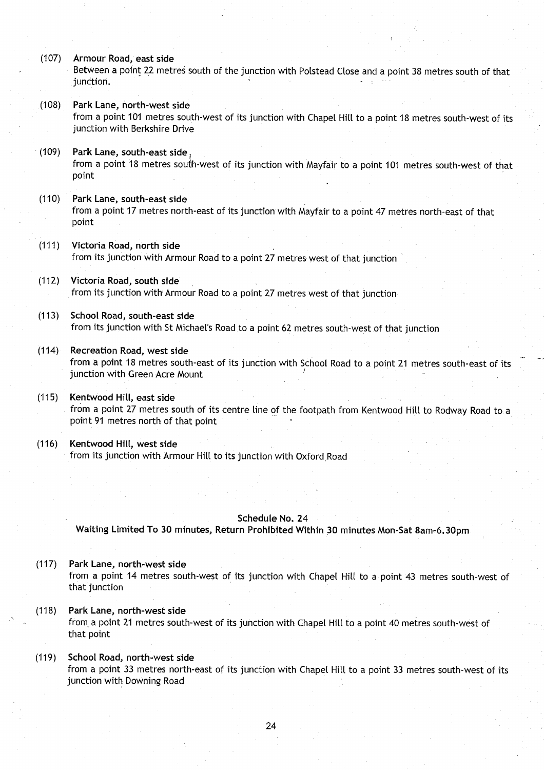(107) Armour **Road**, **east side**

Between a point 22 metres south of the junction with Polstead Close and a point 38 metres south of that junction.

- **(108) Park Lane**, **north**-**west side** from a point 101 metres south-west of its junction with Chapel Hill to a point 18 metres south-west of its junction with Berkshire Drive
- **(109) Park Lane**, **south**-**east side ,** from a point 18 metres south-west of its junction with Mayfair to a point 101 metres south-west of that point
- **(110) Park Lane**, **south**-**east side** from a point 17 metres north-east of its junction with Mayfair to a point 47 metres north-east of that point
- **(111) Victoria Road** , **north side** from its junction with Armour Road to a point 27 metres west of that junction
- (112) Victoria **Road**, **south side** from its junction with Armour Road to a point 27 metres west of that junction
- **(113) School Road**, **south east side** from its junction with St Michael's Road to a point 62 metres south-west of that junction
- **(114) Recreation Road**, **west side** from a point 18 metres south-east of its junction with School Road to a point 21 metres south-east of its junction with Green Acre Mount
- **(115)** Kentwood Hill, east side from a point 27 metres south of its centre line of the footpath from Kentwood Hill to Rodway Road to a point 91 metres north of that point
- **(116) Kentwood Hill, west sid e** from its junction with Armour Hill to its junction with Oxford Road

## **Schedule No. 24**

**- Waiting Limited To 30 minutes**, **Return Prohibited** Within 30 **minutes Mon-Sat 8am** -**6.30pm**

- **(117) Park Lane**, **north**-**west side** from a point 14 metres south-west of its junction with Chapel Hill to a point 43 metres south-west of that junction
- **(118) Park Lane**, **north**-**west side** from. a point 21 metres south-west of its junction with Chapel Hill to a point 40 metres south-west of that point
- **(119) School Road**, **north**-**west side** from a point 33 metres north-east of its junction with Chapel Hill to a point 33 metres south-west of its junction with Downing Road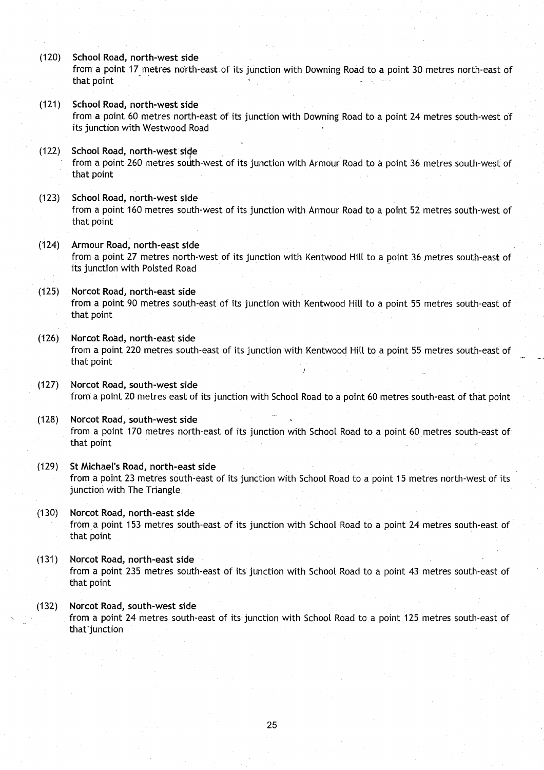**(120) School Road**, **north**-**west side**

from a point 17 metres north-east of its junction with Downing Road to a point 30 metres north-east of that point

- **(121) School Road**, **north**-**west side** from a point 60 metres north-east of its junction with Downing Road to a point 24 metres south-west of its junction with Westwood Road
- (122) School **Road**, **north-west side** from a point 260 metres south-west of its junction with Armour Road to a point 36 metres south-west of that point
- (123) School **Road**, **north**-**west side** from a point 160 metres south-west of its junction with Armour Road to a point 52 metres south-west of that point
- (124) Armour **Road, north** -**east side** from a point 27 metres north-west of its junction with Kentwood Hill to a point 36 metres south-east of its junction with Polsted Road
- **(125) Norcot Road**, **north**-**east side** from a point 90 metres south-east of its junction with Kentwood Hill to a point 55 metres south-east of that point
- **(126) Norcot Road**, **north** -**east side** from a point 220 metres south-east of its junction with Kentwood Hill to a point 55 metres south-east of that point
- (127) Norcot **Road, south-west side** from a point 20 metres east of its junction with School Road to a point 60 metres south-east of that point
- **(128) Norcot Road**, **south**-**west side** from a point 170 metres north-east of its junction with School Road to a point 60 metres south-east of that point
- **(129) St Michael**'**s Road**, **north**-**east side** from a point 23 metres south-east of its junction with School Road to a point 15 metres north-west of its junction with The Triangle
- **(130) Norcot Road**, **north**-**east side** from a point 153 metres south-east of its junction with School Road to a point 24 metres south-east of that point
- **(131) Norcot Road**, **north**-**east side** from a point 235 metres south-east of its junction with School Road to a point 43 metres south-east of that point
- **(132) Norcot Road**, **south**-**west side** from a point 24 metres south-east of its junction with School Road to a point 125 metres south-east of that<sup>-</sup>junction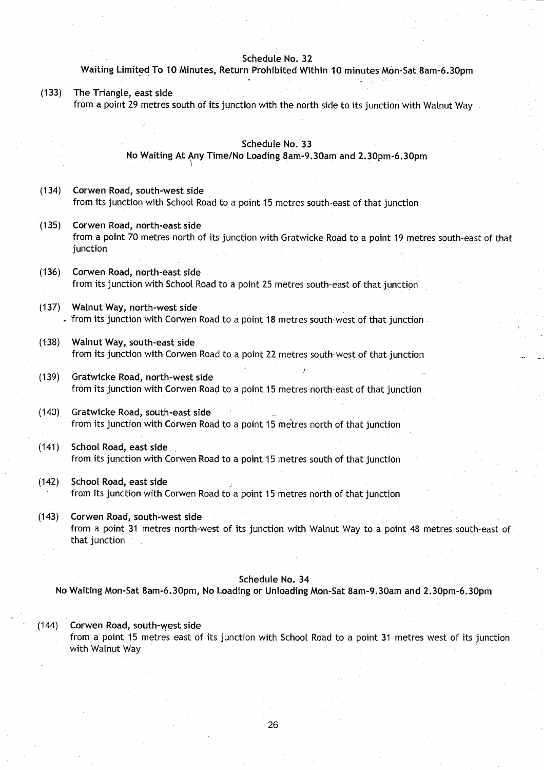#### **Schedule No. 3 2**

### **Waiting** Limited To **10 Minutes, Return Prohibited Within 10 minutes Mon-Sat 8am-6 .30pm**

(133) The Triangle, **east side** from a point 29 metres south of its junction with the north side to its junction with Walnut Way

#### **Schedule No. 33**

**No Waiting At** Any Time/**No Loading 8am-9** .**30am and 2**. **30pm**- **6 .30pm**

- (134) Corwen **Road**, **south** -**west side** from its junction with School Road to a point 15 metres south-east of that junction
- (135) Corwen **Road**, **north**-**east side** from a point 70 metres north of its junction with Gratwicke Road to a point 19 metres south-east of that junction
- (136) Corwen **Road**, **north**-**east side** from its junction with School Road to a point 25 metres south-east of that junction
- (137) Walnut Way, **north**-**west side** from its junction with Corwen Road to a point 18 metres south-west of that junction
- (138) Walnut Way, **south**-**east side** from its junction with Corwen Road to a point 22 metres, south-west of that junction
- **(139) Gratwicke Road** , **north**-**west side** from its junction with Corwen Road to a point 15 metres north-east of that junction
- (140) Gratwicke **Road**, **south-east side** from its junction with Corwen Road to a point 15 metres north of that junction
- **(141) School Road**, **east side** from its junction with Corwen Road to a point 15 metres south of that junction
- (142) School **Road**, **east side** from its junction with Corwen Road to a point 15 metres north of that junction
- (143) Corwen **Road**, **south**-**west side** from a point 31 metres north-west of its junction with Walnut Way to a point 48 metres south-east of that junction

## **Schedule No . 34**

**No Waiting Mon-Sat 8am-6** .**30pm, No Loading or Unloading Mon-Sat 8am-9 .30am and 2 .30pm**-**6.30pm**

## (144) Corwen **Road, south**-**west side**

from a point 15 metres east of its junction with School Road to a point 31 metres west of its junction with Walnut Way